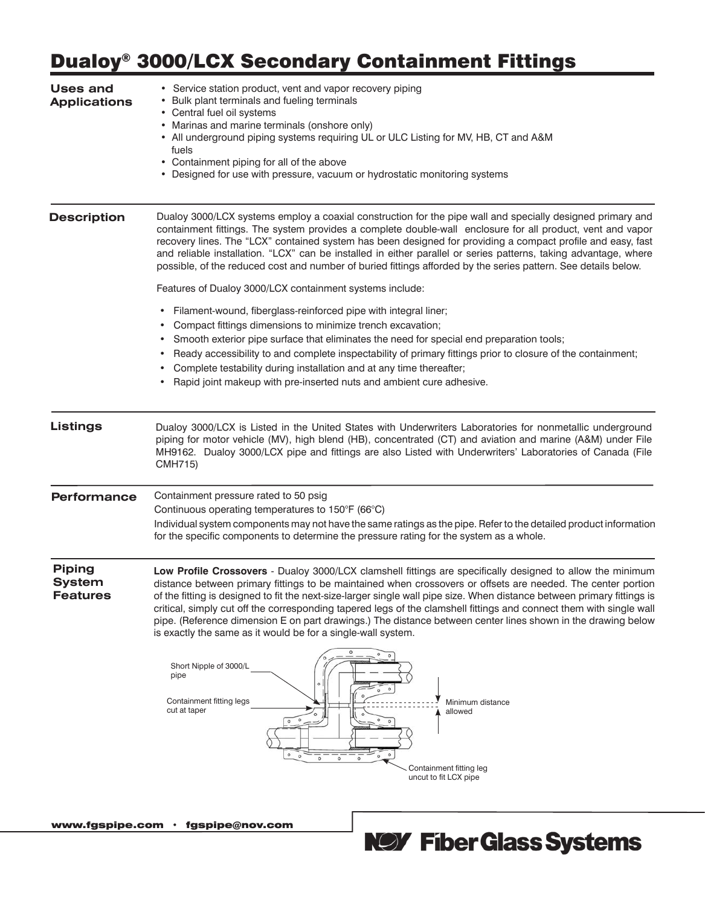# Dualoy® 3000/LCX Secondary Containment Fittings

| <b>Uses and</b><br><b>Applications</b>            | • Service station product, vent and vapor recovery piping<br>• Bulk plant terminals and fueling terminals<br>• Central fuel oil systems<br>• Marinas and marine terminals (onshore only)<br>• All underground piping systems requiring UL or ULC Listing for MV, HB, CT and A&M<br>fuels<br>• Containment piping for all of the above<br>• Designed for use with pressure, vacuum or hydrostatic monitoring systems                                                                                                                                                                                                                                          |  |  |  |  |  |  |  |  |
|---------------------------------------------------|--------------------------------------------------------------------------------------------------------------------------------------------------------------------------------------------------------------------------------------------------------------------------------------------------------------------------------------------------------------------------------------------------------------------------------------------------------------------------------------------------------------------------------------------------------------------------------------------------------------------------------------------------------------|--|--|--|--|--|--|--|--|
| <b>Description</b>                                | Dualoy 3000/LCX systems employ a coaxial construction for the pipe wall and specially designed primary and<br>containment fittings. The system provides a complete double-wall enclosure for all product, vent and vapor<br>recovery lines. The "LCX" contained system has been designed for providing a compact profile and easy, fast<br>and reliable installation. "LCX" can be installed in either parallel or series patterns, taking advantage, where<br>possible, of the reduced cost and number of buried fittings afforded by the series pattern. See details below.                                                                                |  |  |  |  |  |  |  |  |
|                                                   | Features of Dualoy 3000/LCX containment systems include:                                                                                                                                                                                                                                                                                                                                                                                                                                                                                                                                                                                                     |  |  |  |  |  |  |  |  |
|                                                   | Filament-wound, fiberglass-reinforced pipe with integral liner;                                                                                                                                                                                                                                                                                                                                                                                                                                                                                                                                                                                              |  |  |  |  |  |  |  |  |
|                                                   | Compact fittings dimensions to minimize trench excavation;                                                                                                                                                                                                                                                                                                                                                                                                                                                                                                                                                                                                   |  |  |  |  |  |  |  |  |
|                                                   | Smooth exterior pipe surface that eliminates the need for special end preparation tools;<br>$\bullet$<br>Ready accessibility to and complete inspectability of primary fittings prior to closure of the containment;                                                                                                                                                                                                                                                                                                                                                                                                                                         |  |  |  |  |  |  |  |  |
|                                                   | Complete testability during installation and at any time thereafter;                                                                                                                                                                                                                                                                                                                                                                                                                                                                                                                                                                                         |  |  |  |  |  |  |  |  |
|                                                   | Rapid joint makeup with pre-inserted nuts and ambient cure adhesive.                                                                                                                                                                                                                                                                                                                                                                                                                                                                                                                                                                                         |  |  |  |  |  |  |  |  |
| <b>Listings</b>                                   | Dualoy 3000/LCX is Listed in the United States with Underwriters Laboratories for nonmetallic underground<br>piping for motor vehicle (MV), high blend (HB), concentrated (CT) and aviation and marine (A&M) under File<br>MH9162. Dualoy 3000/LCX pipe and fittings are also Listed with Underwriters' Laboratories of Canada (File<br>CMH715)                                                                                                                                                                                                                                                                                                              |  |  |  |  |  |  |  |  |
| <b>Performance</b>                                | Containment pressure rated to 50 psig                                                                                                                                                                                                                                                                                                                                                                                                                                                                                                                                                                                                                        |  |  |  |  |  |  |  |  |
|                                                   | Continuous operating temperatures to 150°F (66°C)                                                                                                                                                                                                                                                                                                                                                                                                                                                                                                                                                                                                            |  |  |  |  |  |  |  |  |
|                                                   | Individual system components may not have the same ratings as the pipe. Refer to the detailed product information<br>for the specific components to determine the pressure rating for the system as a whole.                                                                                                                                                                                                                                                                                                                                                                                                                                                 |  |  |  |  |  |  |  |  |
| <b>Piping</b><br><b>System</b><br><b>Features</b> | Low Profile Crossovers - Dualoy 3000/LCX clamshell fittings are specifically designed to allow the minimum<br>distance between primary fittings to be maintained when crossovers or offsets are needed. The center portion<br>of the fitting is designed to fit the next-size-larger single wall pipe size. When distance between primary fittings is<br>critical, simply cut off the corresponding tapered legs of the clamshell fittings and connect them with single wall<br>pipe. (Reference dimension E on part drawings.) The distance between center lines shown in the drawing below<br>is exactly the same as it would be for a single-wall system. |  |  |  |  |  |  |  |  |
|                                                   | ۰<br>Short Nipple of 3000/L<br>pipe<br>Containment fitting legs<br>Minimum distance<br>cut at taper<br>allowed<br>$\circ$<br>$\circ$<br>$\circ$<br>$\circ$<br>$\circ$<br>$\circ$<br>$\alpha$<br>$\circ$<br>$\circ$<br>$\circ$                                                                                                                                                                                                                                                                                                                                                                                                                                |  |  |  |  |  |  |  |  |
|                                                   | Containment fitting leg<br>uncut to fit LCX pipe                                                                                                                                                                                                                                                                                                                                                                                                                                                                                                                                                                                                             |  |  |  |  |  |  |  |  |
|                                                   |                                                                                                                                                                                                                                                                                                                                                                                                                                                                                                                                                                                                                                                              |  |  |  |  |  |  |  |  |

www.fgspipe.com • fgspipe@nov.com

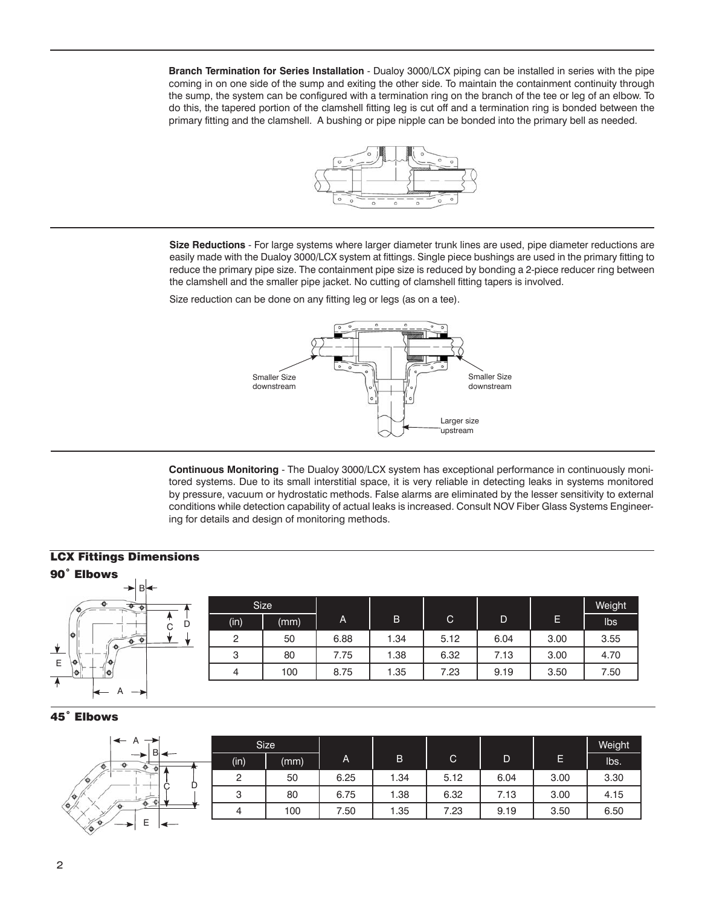**Branch Termination for Series Installation** - Dualoy 3000/LCX piping can be installed in series with the pipe coming in on one side of the sump and exiting the other side. To maintain the containment continuity through the sump, the system can be configured with a termination ring on the branch of the tee or leg of an elbow. To do this, the tapered portion of the clamshell fitting leg is cut off and a termination ring is bonded between the primary fitting and the clamshell. A bushing or pipe nipple can be bonded into the primary bell as needed.



**Size Reductions** - For large systems where larger diameter trunk lines are used, pipe diameter reductions are easily made with the Dualoy 3000/LCX system at fittings. Single piece bushings are used in the primary fitting to reduce the primary pipe size. The containment pipe size is reduced by bonding a 2-piece reducer ring between the clamshell and the smaller pipe jacket. No cutting of clamshell fitting tapers is involved.

Size reduction can be done on any fitting leg or legs (as on a tee).



**Continuous Monitoring** - The Dualoy 3000/LCX system has exceptional performance in continuously monitored systems. Due to its small interstitial space, it is very reliable in detecting leaks in systems monitored by pressure, vacuum or hydrostatic methods. False alarms are eliminated by the lesser sensitivity to external conditions while detection capability of actual leaks is increased. Consult NOV Fiber Glass Systems Engineering for details and design of monitoring methods.

## LCX Fittings Dimensions

| 90° Elbows<br>→B← |                |      |                |      |              |      |      |        |
|-------------------|----------------|------|----------------|------|--------------|------|------|--------|
| $\bullet$         |                | Size |                |      |              |      |      | Weight |
| D<br>C            | (in)           | (mm) | $\overline{A}$ | B    | $\mathsf{C}$ | D    | Е    | Ibs    |
| $\bullet$         | っ              | 50   | 6.88           | 1.34 | 5.12         | 6.04 | 3.00 | 3.55   |
| ⊻<br>E            | 3              | 80   | 7.75           | .38  | 6.32         | 7.13 | 3.00 | 4.70   |
| ۰o                | $\overline{4}$ | 100  | 8.75           | 1.35 | 7.23         | 9.19 | 3.50 | 7.50   |
| A                 |                |      |                |      |              |      |      |        |

#### 45˚ Elbows

| $\leftarrow$ A                                | <b>Size</b> |      |      |      |              |      |      | Weight |
|-----------------------------------------------|-------------|------|------|------|--------------|------|------|--------|
| $\rightarrow$                                 | (in)        | (mm) | A    | B    | $\mathsf{C}$ | D    | Е    | lbs.   |
| $\sim$                                        | $\Omega$    | 50   | 6.25 | 1.34 | 5.12         | 6.04 | 3.00 | 3.30   |
| υ<br>$\frac{1}{2}$                            | ≏<br>৩      | 80   | 6.75 | 1.38 | 6.32         | 7.13 | 3.00 | 4.15   |
| $\frac{1}{2}$                                 | 4           | 100  | 7.50 | 1.35 | 7.23         | 9.19 | 3.50 | 6.50   |
| $\mathscr{C}$<br>-<br>-<br>╼<br>⇁<br>┕<br>ンノム |             |      |      |      |              |      |      |        |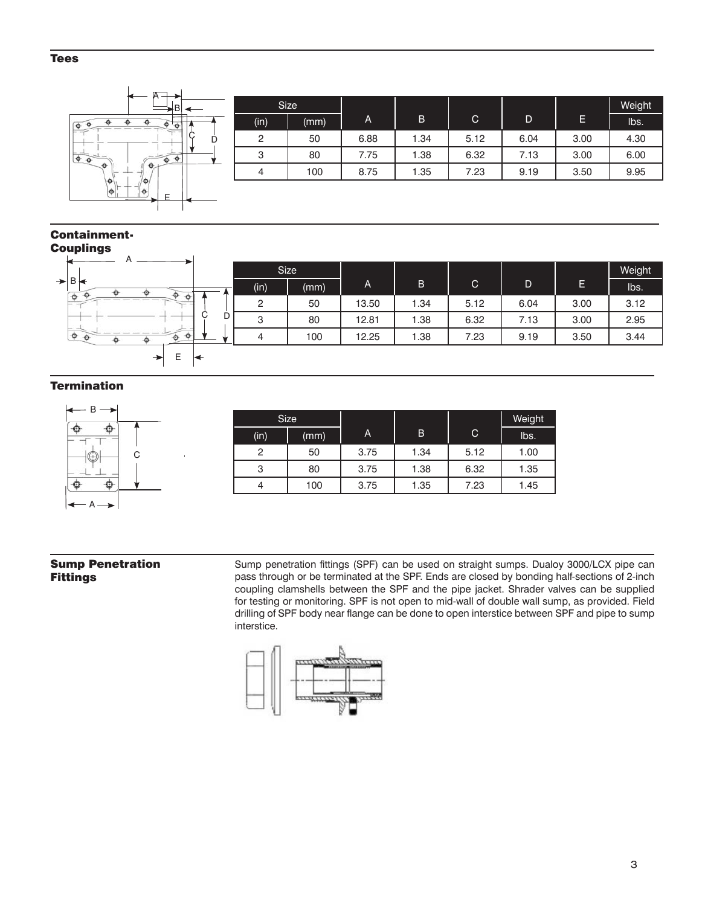#### Tees



#### Containment-Couplings

|                                                         |         | <b>Size</b> |              |      |              |      |        | Weight |
|---------------------------------------------------------|---------|-------------|--------------|------|--------------|------|--------|--------|
| $\rightarrow$ B<br>$-0.12$                              | (in)    | (mm)        | $\mathsf{A}$ | B    | $\mathsf{C}$ | D    | E<br>ш | lbs.   |
| $\ddot{\phantom{1}}$<br>$\ddot{\theta}$<br><b>COLOR</b> | $\circ$ | 50          | 13.50        | 1.34 | 5.12         | 6.04 | 3.00   | 3.12   |
| <b>Service</b>                                          | D<br>3  | 80          | 12.81        | 1.38 | 6.32         | 7.13 | 3.00   | 2.95   |
| $\ddot{\circ}$<br>$\bullet$                             | 4       | 100         | 12.25        | 1.38 | 7.23         | 9.19 | 3.50   | 3.44   |
| $\rightarrow$<br>ᄇ                                      |         |             |              |      |              |      |        |        |

### **Termination**



|      | Size. |      |      |      | Weight |
|------|-------|------|------|------|--------|
| (in) | (mm)  | A    | B    | C    | lbs.   |
| 2    | 50    | 3.75 | 1.34 | 5.12 | 1.00   |
| 3    | 80    | 3.75 | 1.38 | 6.32 | 1.35   |
|      | 100   | 3.75 | 1.35 | 7.23 | 1.45   |

#### Sump Penetration Fittings

Sump penetration fittings (SPF) can be used on straight sumps. Dualoy 3000/LCX pipe can pass through or be terminated at the SPF. Ends are closed by bonding half-sections of 2-inch coupling clamshells between the SPF and the pipe jacket. Shrader valves can be supplied for testing or monitoring. SPF is not open to mid-wall of double wall sump, as provided. Field drilling of SPF body near flange can be done to open interstice between SPF and pipe to sump interstice.